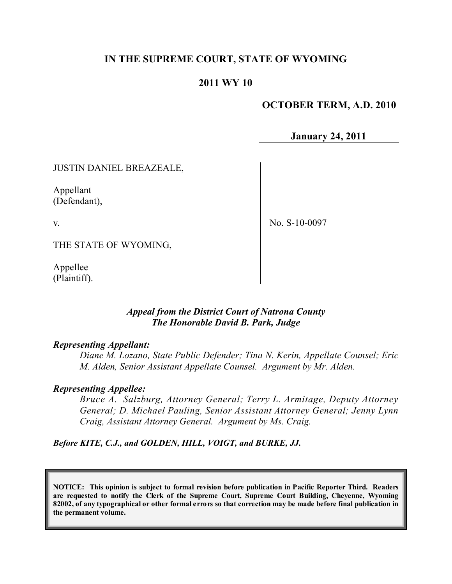## **IN THE SUPREME COURT, STATE OF WYOMING**

## **2011 WY 10**

### **OCTOBER TERM, A.D. 2010**

**January 24, 2011**

JUSTIN DANIEL BREAZEALE,

Appellant (Defendant),

v.

No. S-10-0097

THE STATE OF WYOMING,

Appellee (Plaintiff).

### *Appeal from the District Court of Natrona County The Honorable David B. Park, Judge*

#### *Representing Appellant:*

*Diane M. Lozano, State Public Defender; Tina N. Kerin, Appellate Counsel; Eric M. Alden, Senior Assistant Appellate Counsel. Argument by Mr. Alden.*

#### *Representing Appellee:*

*Bruce A. Salzburg, Attorney General; Terry L. Armitage, Deputy Attorney General; D. Michael Pauling, Senior Assistant Attorney General; Jenny Lynn Craig, Assistant Attorney General. Argument by Ms. Craig.*

*Before KITE, C.J., and GOLDEN, HILL, VOIGT, and BURKE, JJ.*

**NOTICE: This opinion is subject to formal revision before publication in Pacific Reporter Third. Readers are requested to notify the Clerk of the Supreme Court, Supreme Court Building, Cheyenne, Wyoming** 82002, of any typographical or other formal errors so that correction may be made before final publication in **the permanent volume.**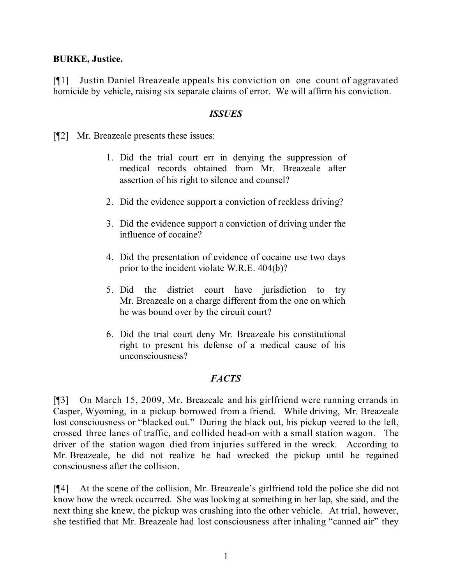## **BURKE, Justice.**

[¶1] Justin Daniel Breazeale appeals his conviction on one count of aggravated homicide by vehicle, raising six separate claims of error. We will affirm his conviction.

## *ISSUES*

[¶2] Mr. Breazeale presents these issues:

- 1. Did the trial court err in denying the suppression of medical records obtained from Mr. Breazeale after assertion of his right to silence and counsel?
- 2. Did the evidence support a conviction of reckless driving?
- 3. Did the evidence support a conviction of driving under the influence of cocaine?
- 4. Did the presentation of evidence of cocaine use two days prior to the incident violate W.R.E. 404(b)?
- 5. Did the district court have jurisdiction to try Mr. Breazeale on a charge different from the one on which he was bound over by the circuit court?
- 6. Did the trial court deny Mr. Breazeale his constitutional right to present his defense of a medical cause of his unconsciousness?

# *FACTS*

[¶3] On March 15, 2009, Mr. Breazeale and his girlfriend were running errands in Casper, Wyoming, in a pickup borrowed from a friend. While driving, Mr. Breazeale lost consciousness or "blacked out." During the black out, his pickup veered to the left, crossed three lanes of traffic, and collided head-on with a small station wagon. The driver of the station wagon died from injuries suffered in the wreck. According to Mr. Breazeale, he did not realize he had wrecked the pickup until he regained consciousness after the collision.

[¶4] At the scene of the collision, Mr. Breazeale's girlfriend told the police she did not know how the wreck occurred. She was looking at something in her lap, she said, and the next thing she knew, the pickup was crashing into the other vehicle. At trial, however, she testified that Mr. Breazeale had lost consciousness after inhaling "canned air" they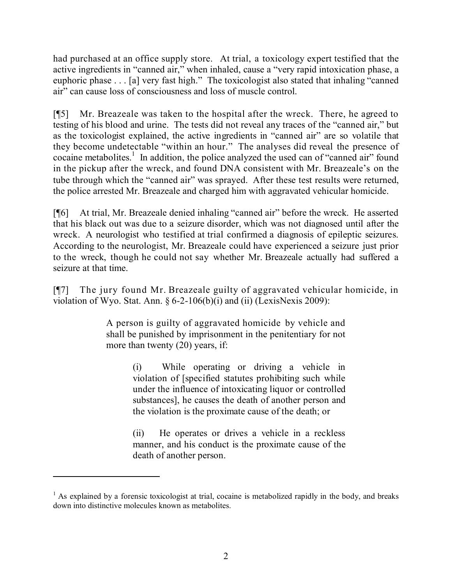had purchased at an office supply store. At trial, a toxicology expert testified that the active ingredients in "canned air," when inhaled, cause a "very rapid intoxication phase, a euphoric phase . . . [a] very fast high." The toxicologist also stated that inhaling "canned air" can cause loss of consciousness and loss of muscle control.

[¶5] Mr. Breazeale was taken to the hospital after the wreck. There, he agreed to testing of his blood and urine. The tests did not reveal any traces of the "canned air," but as the toxicologist explained, the active ingredients in "canned air" are so volatile that they become undetectable "within an hour." The analyses did reveal the presence of cocaine metabolites.<sup>1</sup> In addition, the police analyzed the used can of "canned air" found in the pickup after the wreck, and found DNA consistent with Mr. Breazeale's on the tube through which the "canned air" was sprayed. After these test results were returned, the police arrested Mr. Breazeale and charged him with aggravated vehicular homicide.

[¶6] At trial, Mr. Breazeale denied inhaling "canned air" before the wreck. He asserted that his black out was due to a seizure disorder, which was not diagnosed until after the wreck. A neurologist who testified at trial confirmed a diagnosis of epileptic seizures. According to the neurologist, Mr. Breazeale could have experienced a seizure just prior to the wreck, though he could not say whether Mr. Breazeale actually had suffered a seizure at that time.

[¶7] The jury found Mr. Breazeale guilty of aggravated vehicular homicide, in violation of Wyo. Stat. Ann.  $\S 6-2-106(b)(i)$  and (ii) (LexisNexis 2009):

> A person is guilty of aggravated homicide by vehicle and shall be punished by imprisonment in the penitentiary for not more than twenty (20) years, if:

> > (i) While operating or driving a vehicle in violation of [specified statutes prohibiting such while under the influence of intoxicating liquor or controlled substances], he causes the death of another person and the violation is the proximate cause of the death; or

> > (ii) He operates or drives a vehicle in a reckless manner, and his conduct is the proximate cause of the death of another person.

 $<sup>1</sup>$  As explained by a forensic toxicologist at trial, cocaine is metabolized rapidly in the body, and breaks</sup> down into distinctive molecules known as metabolites.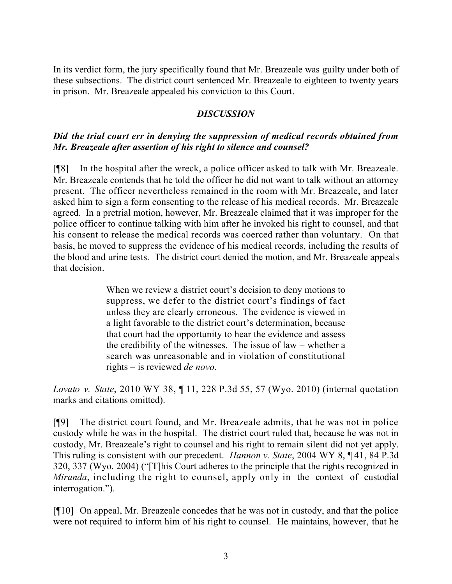In its verdict form, the jury specifically found that Mr. Breazeale was guilty under both of these subsections. The district court sentenced Mr. Breazeale to eighteen to twenty years in prison. Mr. Breazeale appealed his conviction to this Court.

## *DISCUSSION*

## *Did the trial court err in denying the suppression of medical records obtained from Mr. Breazeale after assertion of his right to silence and counsel?*

[¶8] In the hospital after the wreck, a police officer asked to talk with Mr. Breazeale. Mr. Breazeale contends that he told the officer he did not want to talk without an attorney present. The officer nevertheless remained in the room with Mr. Breazeale, and later asked him to sign a form consenting to the release of his medical records. Mr. Breazeale agreed. In a pretrial motion, however, Mr. Breazeale claimed that it was improper for the police officer to continue talking with him after he invoked his right to counsel, and that his consent to release the medical records was coerced rather than voluntary. On that basis, he moved to suppress the evidence of his medical records, including the results of the blood and urine tests. The district court denied the motion, and Mr. Breazeale appeals that decision.

> When we review a district court's decision to deny motions to suppress, we defer to the district court's findings of fact unless they are clearly erroneous. The evidence is viewed in a light favorable to the district court's determination, because that court had the opportunity to hear the evidence and assess the credibility of the witnesses. The issue of law – whether a search was unreasonable and in violation of constitutional rights – is reviewed *de novo*.

*Lovato v. State*, 2010 WY 38, ¶ 11, 228 P.3d 55, 57 (Wyo. 2010) (internal quotation marks and citations omitted).

[¶9] The district court found, and Mr. Breazeale admits, that he was not in police custody while he was in the hospital. The district court ruled that, because he was not in custody, Mr. Breazeale's right to counsel and his right to remain silent did not yet apply. This ruling is consistent with our precedent. *Hannon v. State*, 2004 WY 8, ¶ 41, 84 P.3d 320, 337 (Wyo. 2004) ("[T]his Court adheres to the principle that the rights recognized in *Miranda*, including the right to counsel, apply only in the context of custodial interrogation.").

[¶10] On appeal, Mr. Breazeale concedes that he was not in custody, and that the police were not required to inform him of his right to counsel. He maintains, however, that he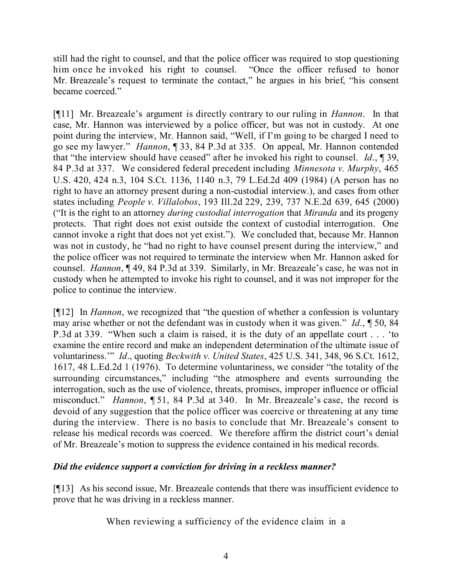still had the right to counsel, and that the police officer was required to stop questioning him once he invoked his right to counsel. "Once the officer refused to honor Mr. Breazeale's request to terminate the contact," he argues in his brief, "his consent became coerced."

[¶11] Mr. Breazeale's argument is directly contrary to our ruling in *Hannon*. In that case, Mr. Hannon was interviewed by a police officer, but was not in custody. At one point during the interview, Mr. Hannon said, "Well, if I'm going to be charged I need to go see my lawyer." *Hannon*, ¶ 33, 84 P.3d at 335. On appeal, Mr. Hannon contended that "the interview should have ceased" after he invoked his right to counsel. *Id*., ¶ 39, 84 P.3d at 337. We considered federal precedent including *Minnesota v. Murphy*, 465 U.S. 420, 424 n.3, 104 S.Ct. 1136, 1140 n.3, 79 L.Ed.2d 409 (1984) (A person has no right to have an attorney present during a non-custodial interview.), and cases from other states including *People v. Villalobos*, 193 Ill.2d 229, 239, 737 N.E.2d 639, 645 (2000) ("It is the right to an attorney *during custodial interrogation* that *Miranda* and its progeny protects. That right does not exist outside the context of custodial interrogation. One cannot invoke a right that does not yet exist."). We concluded that, because Mr. Hannon was not in custody, he "had no right to have counsel present during the interview," and the police officer was not required to terminate the interview when Mr. Hannon asked for counsel. *Hannon*, ¶ 49, 84 P.3d at 339. Similarly, in Mr. Breazeale's case, he was not in custody when he attempted to invoke his right to counsel, and it was not improper for the police to continue the interview.

[¶12] In *Hannon*, we recognized that "the question of whether a confession is voluntary may arise whether or not the defendant was in custody when it was given." *Id*., ¶ 50, 84 P.3d at 339. "When such a claim is raised, it is the duty of an appellate court . . . 'to examine the entire record and make an independent determination of the ultimate issue of voluntariness.'" *Id*., quoting *Beckwith v. United States*, 425 U.S. 341, 348, 96 S.Ct. 1612, 1617, 48 L.Ed.2d 1 (1976). To determine voluntariness, we consider "the totality of the surrounding circumstances," including "the atmosphere and events surrounding the interrogation, such as the use of violence, threats, promises, improper influence or official misconduct." *Hannon*, ¶ 51, 84 P.3d at 340. In Mr. Breazeale's case, the record is devoid of any suggestion that the police officer was coercive or threatening at any time during the interview. There is no basis to conclude that Mr. Breazeale's consent to release his medical records was coerced. We therefore affirm the district court's denial of Mr. Breazeale's motion to suppress the evidence contained in his medical records.

## *Did the evidence support a conviction for driving in a reckless manner?*

[¶13] As his second issue, Mr. Breazeale contends that there was insufficient evidence to prove that he was driving in a reckless manner.

When reviewing a sufficiency of the evidence claim in a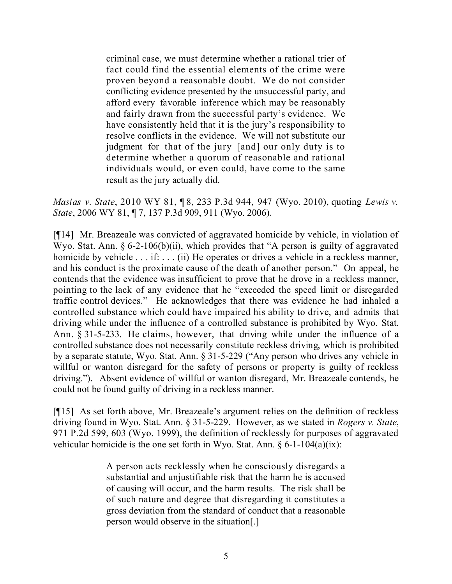criminal case, we must determine whether a rational trier of fact could find the essential elements of the crime were proven beyond a reasonable doubt. We do not consider conflicting evidence presented by the unsuccessful party, and afford every favorable inference which may be reasonably and fairly drawn from the successful party's evidence. We have consistently held that it is the jury's responsibility to resolve conflicts in the evidence. We will not substitute our judgment for that of the jury [and] our only duty is to determine whether a quorum of reasonable and rational individuals would, or even could, have come to the same result as the jury actually did.

*Masias v. State*, 2010 WY 81, ¶ 8, 233 P.3d 944, 947 (Wyo. 2010), quoting *Lewis v. State*, 2006 WY 81, ¶ 7, 137 P.3d 909, 911 (Wyo. 2006).

[¶14] Mr. Breazeale was convicted of aggravated homicide by vehicle, in violation of Wyo. Stat. Ann. § 6-2-106(b)(ii), which provides that "A person is guilty of aggravated homicide by vehicle . . . if: . . . (ii) He operates or drives a vehicle in a reckless manner, and his conduct is the proximate cause of the death of another person." On appeal, he contends that the evidence was insufficient to prove that he drove in a reckless manner, pointing to the lack of any evidence that he "exceeded the speed limit or disregarded traffic control devices." He acknowledges that there was evidence he had inhaled a controlled substance which could have impaired his ability to drive, and admits that driving while under the influence of a controlled substance is prohibited by Wyo. Stat. Ann. § 31-5-233. He claims, however, that driving while under the influence of a controlled substance does not necessarily constitute reckless driving, which is prohibited by a separate statute, Wyo. Stat. Ann. § 31-5-229 ("Any person who drives any vehicle in willful or wanton disregard for the safety of persons or property is guilty of reckless driving."). Absent evidence of willful or wanton disregard, Mr. Breazeale contends, he could not be found guilty of driving in a reckless manner.

[¶15] As set forth above, Mr. Breazeale's argument relies on the definition of reckless driving found in Wyo. Stat. Ann. § 31-5-229. However, as we stated in *Rogers v. State*, 971 P.2d 599, 603 (Wyo. 1999), the definition of recklessly for purposes of aggravated vehicular homicide is the one set forth in Wyo. Stat. Ann.  $\S 6$ -1-104(a)(ix):

> A person acts recklessly when he consciously disregards a substantial and unjustifiable risk that the harm he is accused of causing will occur, and the harm results. The risk shall be of such nature and degree that disregarding it constitutes a gross deviation from the standard of conduct that a reasonable person would observe in the situation[.]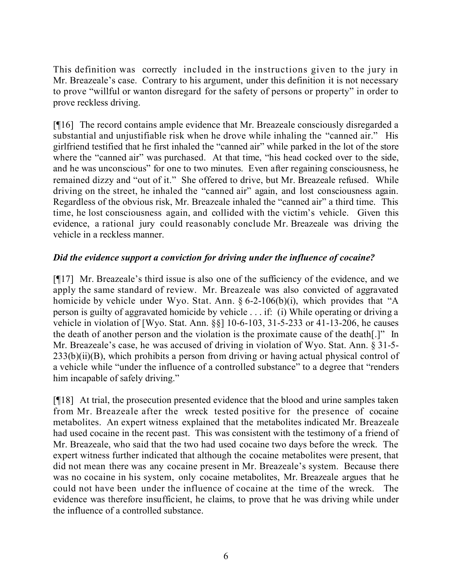This definition was correctly included in the instructions given to the jury in Mr. Breazeale's case. Contrary to his argument, under this definition it is not necessary to prove "willful or wanton disregard for the safety of persons or property" in order to prove reckless driving.

[¶16] The record contains ample evidence that Mr. Breazeale consciously disregarded a substantial and unjustifiable risk when he drove while inhaling the "canned air." His girlfriend testified that he first inhaled the "canned air" while parked in the lot of the store where the "canned air" was purchased. At that time, "his head cocked over to the side, and he was unconscious" for one to two minutes. Even after regaining consciousness, he remained dizzy and "out of it." She offered to drive, but Mr. Breazeale refused. While driving on the street, he inhaled the "canned air" again, and lost consciousness again. Regardless of the obvious risk, Mr. Breazeale inhaled the "canned air" a third time. This time, he lost consciousness again, and collided with the victim's vehicle. Given this evidence, a rational jury could reasonably conclude Mr. Breazeale was driving the vehicle in a reckless manner.

# *Did the evidence support a conviction for driving under the influence of cocaine?*

[¶17] Mr. Breazeale's third issue is also one of the sufficiency of the evidence, and we apply the same standard of review. Mr. Breazeale was also convicted of aggravated homicide by vehicle under Wyo. Stat. Ann.  $\S 6$ -2-106(b)(i), which provides that "A person is guilty of aggravated homicide by vehicle . . . if: (i) While operating or driving a vehicle in violation of [Wyo. Stat. Ann. §§] 10-6-103, 31-5-233 or 41-13-206, he causes the death of another person and the violation is the proximate cause of the death[.]" In Mr. Breazeale's case, he was accused of driving in violation of Wyo. Stat. Ann. § 31-5-  $233(b)(ii)(B)$ , which prohibits a person from driving or having actual physical control of a vehicle while "under the influence of a controlled substance" to a degree that "renders him incapable of safely driving."

[¶18] At trial, the prosecution presented evidence that the blood and urine samples taken from Mr. Breazeale after the wreck tested positive for the presence of cocaine metabolites. An expert witness explained that the metabolites indicated Mr. Breazeale had used cocaine in the recent past. This was consistent with the testimony of a friend of Mr. Breazeale, who said that the two had used cocaine two days before the wreck. The expert witness further indicated that although the cocaine metabolites were present, that did not mean there was any cocaine present in Mr. Breazeale's system. Because there was no cocaine in his system, only cocaine metabolites, Mr. Breazeale argues that he could not have been under the influence of cocaine at the time of the wreck. The evidence was therefore insufficient, he claims, to prove that he was driving while under the influence of a controlled substance.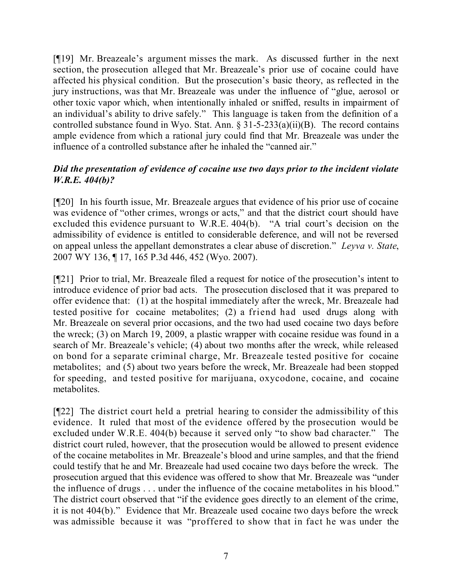[¶19] Mr. Breazeale's argument misses the mark. As discussed further in the next section, the prosecution alleged that Mr. Breazeale's prior use of cocaine could have affected his physical condition. But the prosecution's basic theory, as reflected in the jury instructions, was that Mr. Breazeale was under the influence of "glue, aerosol or other toxic vapor which, when intentionally inhaled or sniffed, results in impairment of an individual's ability to drive safely." This language is taken from the definition of a controlled substance found in Wyo. Stat. Ann.  $\S 31-5-233(a)(ii)(B)$ . The record contains ample evidence from which a rational jury could find that Mr. Breazeale was under the influence of a controlled substance after he inhaled the "canned air."

# *Did the presentation of evidence of cocaine use two days prior to the incident violate W.R.E. 404(b)?*

[¶20] In his fourth issue, Mr. Breazeale argues that evidence of his prior use of cocaine was evidence of "other crimes, wrongs or acts," and that the district court should have excluded this evidence pursuant to W.R.E. 404(b). "A trial court's decision on the admissibility of evidence is entitled to considerable deference, and will not be reversed on appeal unless the appellant demonstrates a clear abuse of discretion." *Leyva v. State*, 2007 WY 136, ¶ 17, 165 P.3d 446, 452 (Wyo. 2007).

[¶21] Prior to trial, Mr. Breazeale filed a request for notice of the prosecution's intent to introduce evidence of prior bad acts. The prosecution disclosed that it was prepared to offer evidence that: (1) at the hospital immediately after the wreck, Mr. Breazeale had tested positive for cocaine metabolites; (2) a friend had used drugs along with Mr. Breazeale on several prior occasions, and the two had used cocaine two days before the wreck; (3) on March 19, 2009, a plastic wrapper with cocaine residue was found in a search of Mr. Breazeale's vehicle; (4) about two months after the wreck, while released on bond for a separate criminal charge, Mr. Breazeale tested positive for cocaine metabolites; and (5) about two years before the wreck, Mr. Breazeale had been stopped for speeding, and tested positive for marijuana, oxycodone, cocaine, and cocaine metabolites.

[¶22] The district court held a pretrial hearing to consider the admissibility of this evidence. It ruled that most of the evidence offered by the prosecution would be excluded under W.R.E. 404(b) because it served only "to show bad character." The district court ruled, however, that the prosecution would be allowed to present evidence of the cocaine metabolites in Mr. Breazeale's blood and urine samples, and that the friend could testify that he and Mr. Breazeale had used cocaine two days before the wreck. The prosecution argued that this evidence was offered to show that Mr. Breazeale was "under the influence of drugs . . . under the influence of the cocaine metabolites in his blood." The district court observed that "if the evidence goes directly to an element of the crime, it is not 404(b)." Evidence that Mr. Breazeale used cocaine two days before the wreck was admissible because it was "proffered to show that in fact he was under the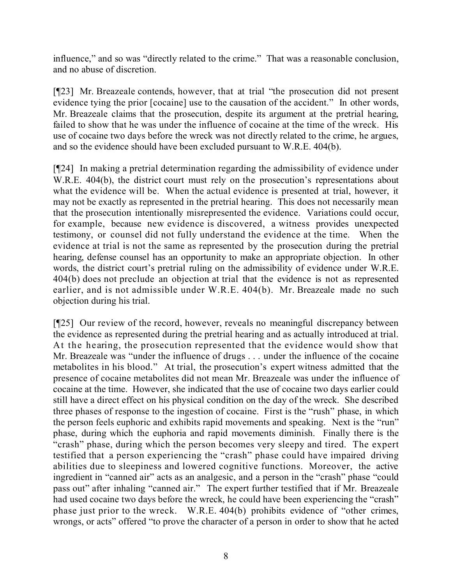influence," and so was "directly related to the crime." That was a reasonable conclusion, and no abuse of discretion.

[¶23] Mr. Breazeale contends, however, that at trial "the prosecution did not present evidence tying the prior [cocaine] use to the causation of the accident." In other words, Mr. Breazeale claims that the prosecution, despite its argument at the pretrial hearing, failed to show that he was under the influence of cocaine at the time of the wreck. His use of cocaine two days before the wreck was not directly related to the crime, he argues, and so the evidence should have been excluded pursuant to W.R.E. 404(b).

[¶24] In making a pretrial determination regarding the admissibility of evidence under W.R.E. 404(b), the district court must rely on the prosecution's representations about what the evidence will be. When the actual evidence is presented at trial, however, it may not be exactly as represented in the pretrial hearing. This does not necessarily mean that the prosecution intentionally misrepresented the evidence. Variations could occur, for example, because new evidence is discovered, a witness provides unexpected testimony, or counsel did not fully understand the evidence at the time. When the evidence at trial is not the same as represented by the prosecution during the pretrial hearing, defense counsel has an opportunity to make an appropriate objection. In other words, the district court's pretrial ruling on the admissibility of evidence under W.R.E. 404(b) does not preclude an objection at trial that the evidence is not as represented earlier, and is not admissible under W.R.E. 404(b). Mr. Breazeale made no such objection during his trial.

[¶25] Our review of the record, however, reveals no meaningful discrepancy between the evidence as represented during the pretrial hearing and as actually introduced at trial. At the hearing, the prosecution represented that the evidence would show that Mr. Breazeale was "under the influence of drugs . . . under the influence of the cocaine metabolites in his blood." At trial, the prosecution's expert witness admitted that the presence of cocaine metabolites did not mean Mr. Breazeale was under the influence of cocaine at the time. However, she indicated that the use of cocaine two days earlier could still have a direct effect on his physical condition on the day of the wreck. She described three phases of response to the ingestion of cocaine. First is the "rush" phase, in which the person feels euphoric and exhibits rapid movements and speaking. Next is the "run" phase, during which the euphoria and rapid movements diminish. Finally there is the "crash" phase, during which the person becomes very sleepy and tired. The expert testified that a person experiencing the "crash" phase could have impaired driving abilities due to sleepiness and lowered cognitive functions. Moreover, the active ingredient in "canned air" acts as an analgesic, and a person in the "crash" phase "could pass out" after inhaling "canned air." The expert further testified that if Mr. Breazeale had used cocaine two days before the wreck, he could have been experiencing the "crash" phase just prior to the wreck. W.R.E. 404(b) prohibits evidence of "other crimes, wrongs, or acts" offered "to prove the character of a person in order to show that he acted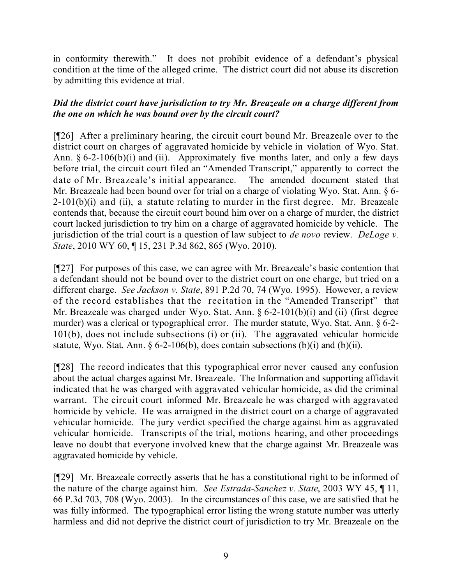in conformity therewith." It does not prohibit evidence of a defendant's physical condition at the time of the alleged crime. The district court did not abuse its discretion by admitting this evidence at trial.

## *Did the district court have jurisdiction to try Mr. Breazeale on a charge different from the one on which he was bound over by the circuit court?*

[¶26] After a preliminary hearing, the circuit court bound Mr. Breazeale over to the district court on charges of aggravated homicide by vehicle in violation of Wyo. Stat. Ann.  $\S 6-2-106(b)(i)$  and (ii). Approximately five months later, and only a few days before trial, the circuit court filed an "Amended Transcript," apparently to correct the date of Mr. Breazeale's initial appearance. The amended document stated that Mr. Breazeale had been bound over for trial on a charge of violating Wyo. Stat. Ann. § 6-2-101(b)(i) and (ii), a statute relating to murder in the first degree. Mr. Breazeale contends that, because the circuit court bound him over on a charge of murder, the district court lacked jurisdiction to try him on a charge of aggravated homicide by vehicle. The jurisdiction of the trial court is a question of law subject to *de novo* review. *DeLoge v. State*, 2010 WY 60, ¶ 15, 231 P.3d 862, 865 (Wyo. 2010).

[¶27] For purposes of this case, we can agree with Mr. Breazeale's basic contention that a defendant should not be bound over to the district court on one charge, but tried on a different charge. *See Jackson v. State*, 891 P.2d 70, 74 (Wyo. 1995). However, a review of the record establishes that the recitation in the "Amended Transcript" that Mr. Breazeale was charged under Wyo. Stat. Ann. § 6-2-101(b)(i) and (ii) (first degree murder) was a clerical or typographical error. The murder statute, Wyo. Stat. Ann. § 6-2- 101(b), does not include subsections (i) or (ii). The aggravated vehicular homicide statute, Wyo. Stat. Ann.  $\S 6-2-106(b)$ , does contain subsections  $(b)(i)$  and  $(b)(ii)$ .

[¶28] The record indicates that this typographical error never caused any confusion about the actual charges against Mr. Breazeale. The Information and supporting affidavit indicated that he was charged with aggravated vehicular homicide, as did the criminal warrant. The circuit court informed Mr. Breazeale he was charged with aggravated homicide by vehicle. He was arraigned in the district court on a charge of aggravated vehicular homicide. The jury verdict specified the charge against him as aggravated vehicular homicide. Transcripts of the trial, motions hearing, and other proceedings leave no doubt that everyone involved knew that the charge against Mr. Breazeale was aggravated homicide by vehicle.

[¶29] Mr. Breazeale correctly asserts that he has a constitutional right to be informed of the nature of the charge against him. *See Estrada-Sanchez v. State*, 2003 WY 45, ¶ 11, 66 P.3d 703, 708 (Wyo. 2003). In the circumstances of this case, we are satisfied that he was fully informed. The typographical error listing the wrong statute number was utterly harmless and did not deprive the district court of jurisdiction to try Mr. Breazeale on the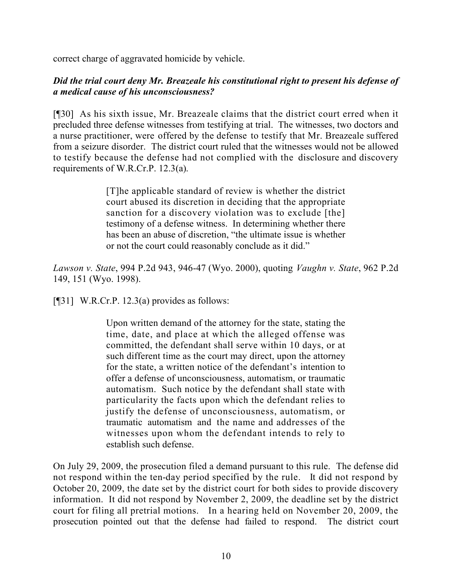correct charge of aggravated homicide by vehicle.

# *Did the trial court deny Mr. Breazeale his constitutional right to present his defense of a medical cause of his unconsciousness?*

[¶30] As his sixth issue, Mr. Breazeale claims that the district court erred when it precluded three defense witnesses from testifying at trial. The witnesses, two doctors and a nurse practitioner, were offered by the defense to testify that Mr. Breazeale suffered from a seizure disorder. The district court ruled that the witnesses would not be allowed to testify because the defense had not complied with the disclosure and discovery requirements of W.R.Cr.P. 12.3(a).

> [T]he applicable standard of review is whether the district court abused its discretion in deciding that the appropriate sanction for a discovery violation was to exclude [the] testimony of a defense witness. In determining whether there has been an abuse of discretion, "the ultimate issue is whether or not the court could reasonably conclude as it did."

*Lawson v. State*, 994 P.2d 943, 946-47 (Wyo. 2000), quoting *Vaughn v. State*, 962 P.2d 149, 151 (Wyo. 1998).

 $[$ [[31] W.R.Cr.P. 12.3(a) provides as follows:

Upon written demand of the attorney for the state, stating the time, date, and place at which the alleged offense was committed, the defendant shall serve within 10 days, or at such different time as the court may direct, upon the attorney for the state, a written notice of the defendant's intention to offer a defense of unconsciousness, automatism, or traumatic automatism. Such notice by the defendant shall state with particularity the facts upon which the defendant relies to justify the defense of unconsciousness, automatism, or traumatic automatism and the name and addresses of the witnesses upon whom the defendant intends to rely to establish such defense.

On July 29, 2009, the prosecution filed a demand pursuant to this rule. The defense did not respond within the ten-day period specified by the rule. It did not respond by October 20, 2009, the date set by the district court for both sides to provide discovery information. It did not respond by November 2, 2009, the deadline set by the district court for filing all pretrial motions. In a hearing held on November 20, 2009, the prosecution pointed out that the defense had failed to respond. The district court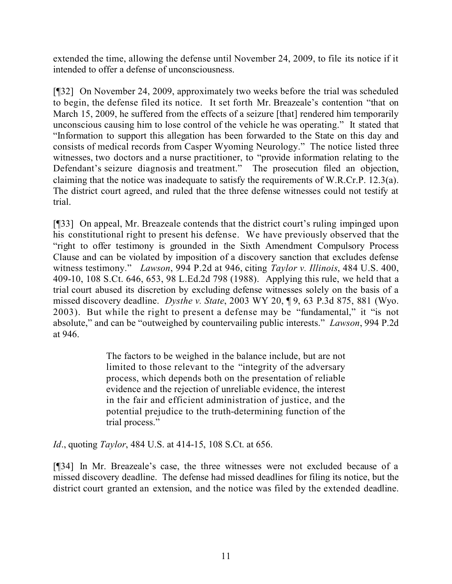extended the time, allowing the defense until November 24, 2009, to file its notice if it intended to offer a defense of unconsciousness.

[¶32] On November 24, 2009, approximately two weeks before the trial was scheduled to begin, the defense filed its notice. It set forth Mr. Breazeale's contention "that on March 15, 2009, he suffered from the effects of a seizure [that] rendered him temporarily unconscious causing him to lose control of the vehicle he was operating." It stated that "Information to support this allegation has been forwarded to the State on this day and consists of medical records from Casper Wyoming Neurology." The notice listed three witnesses, two doctors and a nurse practitioner, to "provide information relating to the Defendant's seizure diagnosis and treatment." The prosecution filed an objection, claiming that the notice was inadequate to satisfy the requirements of W.R.Cr.P. 12.3(a). The district court agreed, and ruled that the three defense witnesses could not testify at trial.

[¶33] On appeal, Mr. Breazeale contends that the district court's ruling impinged upon his constitutional right to present his defense. We have previously observed that the "right to offer testimony is grounded in the Sixth Amendment Compulsory Process Clause and can be violated by imposition of a discovery sanction that excludes defense witness testimony." *Lawson*, 994 P.2d at 946, citing *Taylor v. Illinois*, 484 U.S. 400, 409-10, 108 S.Ct. 646, 653, 98 L.Ed.2d 798 (1988). Applying this rule, we held that a trial court abused its discretion by excluding defense witnesses solely on the basis of a missed discovery deadline. *Dysthe v. State*, 2003 WY 20, ¶ 9, 63 P.3d 875, 881 (Wyo. 2003). But while the right to present a defense may be "fundamental," it "is not absolute," and can be "outweighed by countervailing public interests." *Lawson*, 994 P.2d at 946.

> The factors to be weighed in the balance include, but are not limited to those relevant to the "integrity of the adversary process, which depends both on the presentation of reliable evidence and the rejection of unreliable evidence, the interest in the fair and efficient administration of justice, and the potential prejudice to the truth-determining function of the trial process."

*Id*., quoting *Taylor*, 484 U.S. at 414-15, 108 S.Ct. at 656.

[¶34] In Mr. Breazeale's case, the three witnesses were not excluded because of a missed discovery deadline. The defense had missed deadlines for filing its notice, but the district court granted an extension, and the notice was filed by the extended deadline.